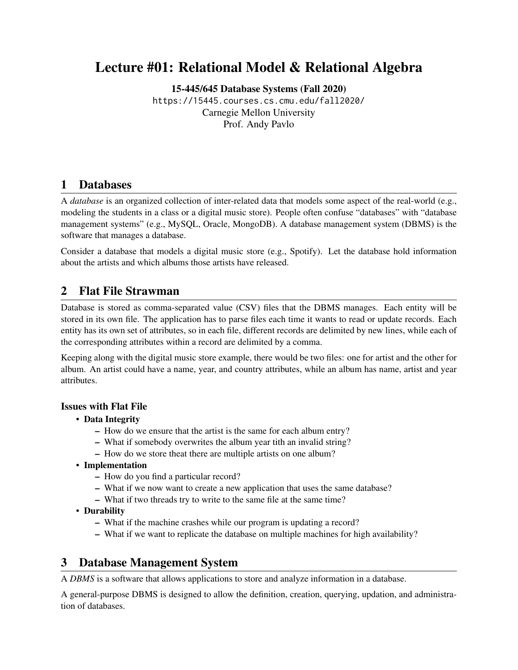# Lecture #01: Relational Model & Relational Algebra

[15-445/645 Database Systems \(Fall 2020\)](https://15445.courses.cs.cmu.edu/fall2020/)

<https://15445.courses.cs.cmu.edu/fall2020/> Carnegie Mellon University [Prof. Andy Pavlo](http://www.cs.cmu.edu/~pavlo/)

# 1 Databases

A *database* is an organized collection of inter-related data that models some aspect of the real-world (e.g., modeling the students in a class or a digital music store). People often confuse "databases" with "database management systems" (e.g., MySQL, Oracle, MongoDB). A database management system (DBMS) is the software that manages a database.

Consider a database that models a digital music store (e.g., Spotify). Let the database hold information about the artists and which albums those artists have released.

# 2 Flat File Strawman

Database is stored as comma-separated value (CSV) files that the DBMS manages. Each entity will be stored in its own file. The application has to parse files each time it wants to read or update records. Each entity has its own set of attributes, so in each file, different records are delimited by new lines, while each of the corresponding attributes within a record are delimited by a comma.

Keeping along with the digital music store example, there would be two files: one for artist and the other for album. An artist could have a name, year, and country attributes, while an album has name, artist and year attributes.

### Issues with Flat File

- Data Integrity
	- How do we ensure that the artist is the same for each album entry?
	- What if somebody overwrites the album year tith an invalid string?
	- How do we store theat there are multiple artists on one album?
- Implementation
	- How do you find a particular record?
	- What if we now want to create a new application that uses the same database?
	- What if two threads try to write to the same file at the same time?
- Durability
	- What if the machine crashes while our program is updating a record?
	- What if we want to replicate the database on multiple machines for high availability?

# 3 Database Management System

A *DBMS* is a software that allows applications to store and analyze information in a database.

A general-purpose DBMS is designed to allow the definition, creation, querying, updation, and administration of databases.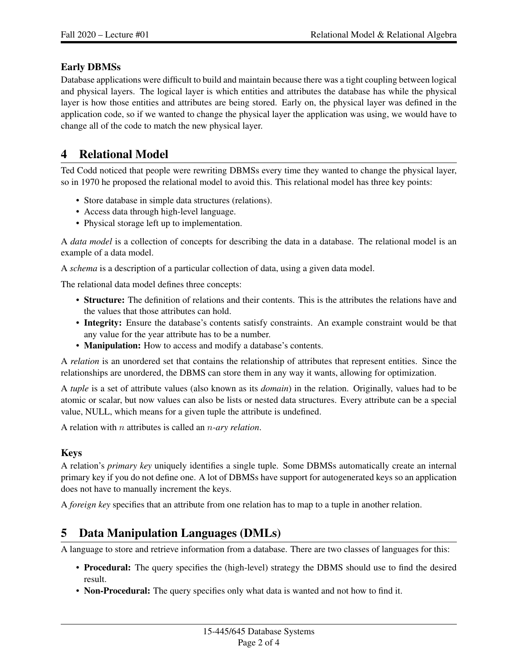### Early DBMSs

Database applications were difficult to build and maintain because there was a tight coupling between logical and physical layers. The logical layer is which entities and attributes the database has while the physical layer is how those entities and attributes are being stored. Early on, the physical layer was defined in the application code, so if we wanted to change the physical layer the application was using, we would have to change all of the code to match the new physical layer.

# 4 Relational Model

Ted Codd noticed that people were rewriting DBMSs every time they wanted to change the physical layer, so in 1970 he proposed the relational model to avoid this. This relational model has three key points:

- Store database in simple data structures (relations).
- Access data through high-level language.
- Physical storage left up to implementation.

A *data model* is a collection of concepts for describing the data in a database. The relational model is an example of a data model.

A *schema* is a description of a particular collection of data, using a given data model.

The relational data model defines three concepts:

- Structure: The definition of relations and their contents. This is the attributes the relations have and the values that those attributes can hold.
- Integrity: Ensure the database's contents satisfy constraints. An example constraint would be that any value for the year attribute has to be a number.
- Manipulation: How to access and modify a database's contents.

A *relation* is an unordered set that contains the relationship of attributes that represent entities. Since the relationships are unordered, the DBMS can store them in any way it wants, allowing for optimization.

A *tuple* is a set of attribute values (also known as its *domain*) in the relation. Originally, values had to be atomic or scalar, but now values can also be lists or nested data structures. Every attribute can be a special value, NULL, which means for a given tuple the attribute is undefined.

A relation with n attributes is called an n*-ary relation*.

#### Keys

A relation's *primary key* uniquely identifies a single tuple. Some DBMSs automatically create an internal primary key if you do not define one. A lot of DBMSs have support for autogenerated keys so an application does not have to manually increment the keys.

A *foreign key* specifies that an attribute from one relation has to map to a tuple in another relation.

# 5 Data Manipulation Languages (DMLs)

A language to store and retrieve information from a database. There are two classes of languages for this:

- Procedural: The query specifies the (high-level) strategy the DBMS should use to find the desired result.
- Non-Procedural: The query specifies only what data is wanted and not how to find it.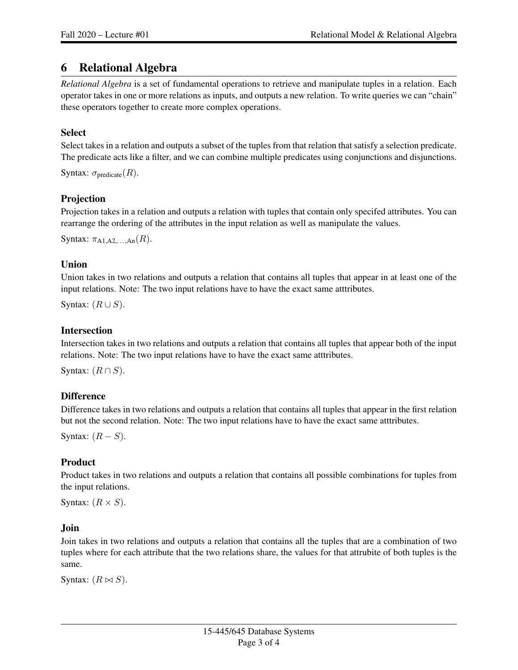### 6 Relational Algebra

*Relational Algebra* is a set of fundamental operations to retrieve and manipulate tuples in a relation. Each operator takes in one or more relations as inputs, and outputs a new relation. To write queries we can "chain" these operators together to create more complex operations.

#### **Select**

Select takes in a relation and outputs a subset of the tuples from that relation that satisfy a selection predicate. The predicate acts like a filter, and we can combine multiple predicates using conjunctions and disjunctions.

```
Syntax: \sigma_{\text{predicate}}(R).
```
#### Projection

Projection takes in a relation and outputs a relation with tuples that contain only specifed attributes. You can rearrange the ordering of the attributes in the input relation as well as manipulate the values.

```
Syntax: \pi_{A1,A2,...,An}(R).
```
#### Union

Union takes in two relations and outputs a relation that contains all tuples that appear in at least one of the input relations. Note: The two input relations have to have the exact same atttributes.

Syntax:  $(R \cup S)$ .

#### Intersection

Intersection takes in two relations and outputs a relation that contains all tuples that appear both of the input relations. Note: The two input relations have to have the exact same atttributes.

Syntax:  $(R \cap S)$ .

### **Difference**

Difference takes in two relations and outputs a relation that contains all tuples that appear in the first relation but not the second relation. Note: The two input relations have to have the exact same atttributes.

Syntax:  $(R - S)$ .

### Product

Product takes in two relations and outputs a relation that contains all possible combinations for tuples from the input relations.

Syntax:  $(R \times S)$ .

#### Join

Join takes in two relations and outputs a relation that contains all the tuples that are a combination of two tuples where for each attribute that the two relations share, the values for that attrubite of both tuples is the same.

Syntax:  $(R \bowtie S)$ .